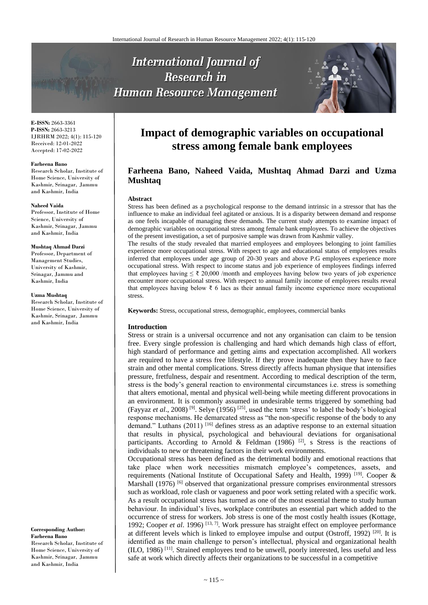# **International Journal of Research in Human Resource Management**



**E-ISSN:** 2663-3361 **P-ISSN:** 2663-3213 IJRHRM 2022; 4(1): 115-120 Received: 12-01-2022 Accepted: 17-02-2022

#### **Farheena Bano**

Research Scholar, Institute of Home Science, University of Kashmir, Srinagar, Jammu and Kashmir, India

#### **Naheed Vaida**

Professor, Institute of Home Science, University of Kashmir, Srinagar, Jammu and Kashmir, India

#### **Mushtaq Ahmad Darzi**

Professor, Department of Management Studies, University of Kashmir, Srinagar, Jammu and Kashmir, India

#### **Uzma Mushtaq**

Research Scholar, Institute of Home Science, University of Kashmir, Srinagar, Jammu and Kashmir, India

**Corresponding Author: Farheena Bano** Research Scholar, Institute of Home Science, University of Kashmir, Srinagar, Jammu and Kashmir, India

## **Impact of demographic variables on occupational stress among female bank employees**

## **Farheena Bano, Naheed Vaida, Mushtaq Ahmad Darzi and Uzma Mushtaq**

#### **Abstract**

Stress has been defined as a psychological response to the demand intrinsic in a stressor that has the influence to make an individual feel agitated or anxious. It is a disparity between demand and response as one feels incapable of managing these demands. The current study attempts to examine impact of demographic variables on occupational stress among female bank employees. To achieve the objectives of the present investigation, a set of purposive sample was drawn from Kashmir valley.

The results of the study revealed that married employees and employees belonging to joint families experience more occupational stress. With respect to age and educational status of employees results inferred that employees under age group of 20-30 years and above P.G employees experience more occupational stress. With respect to income status and job experience of employees findings inferred that employees having  $\leq \xi$  20,000 /month and employees having below two years of job experience encounter more occupational stress. With respect to annual family income of employees results reveal that employees having below  $\bar{\tau}$  6 lacs as their annual family income experience more occupational stress.

**Keywords:** Stress, occupational stress, demographic, employees, commercial banks

#### **Introduction**

Stress or strain is a universal occurrence and not any organisation can claim to be tension free. Every single profession is challenging and hard which demands high class of effort, high standard of performance and getting aims and expectation accomplished. All workers are required to have a stress free lifestyle. If they prove inadequate then they have to face strain and other mental complications. Stress directly affects human physique that intensifies pressure, fretfulness, despair and resentment. According to medical description of the term, stress is the body's general reaction to environmental circumstances i.e. stress is something that alters emotional, mental and physical well-being while meeting different provocations in an environment. It is commonly assumed in undesirable terms triggered by something bad (Fayyaz *et al*., 2008) [9] . Selye (1956) [25] , used the term 'stress' to label the body's biological response mechanisms. He demarcated stress as "the non-specific response of the body to any demand." Luthans (2011) <sup>[16]</sup> defines stress as an adaptive response to an external situation that results in physical, psychological and behavioural deviations for organisational participants. According to Arnold & Feldman (1986)<sup>[2]</sup>, s Stress is the reactions of individuals to new or threatening factors in their work environments.

Occupational stress has been defined as the detrimental bodily and emotional reactions that take place when work necessities mismatch employee's competences, assets, and requirements (National Institute of Occupational Safety and Health, 1999)<sup>[19]</sup>. Cooper & Marshall (1976)<sup>[6]</sup> observed that organizational pressure comprises environmental stressors such as workload, role clash or vagueness and poor work setting related with a specific work. As a result occupational stress has turned as one of the most essential theme to study human behaviour. In individual's lives, workplace contributes an essential part which added to the occurrence of stress for workers. Job stress is one of the most costly health issues (Kottage, 1992; Cooper *et al.* 1996)<sup>[13, 7]</sup>. Work pressure has straight effect on employee performance at different levels which is linked to employee impulse and output (Ostroff, 1992)<sup>[20]</sup>. It is identified as the main challenge to person's intellectual, physical and organizational health (ILO, 1986) [11] . Strained employees tend to be unwell, poorly interested, less useful and less safe at work which directly affects their organizations to be successful in a competitive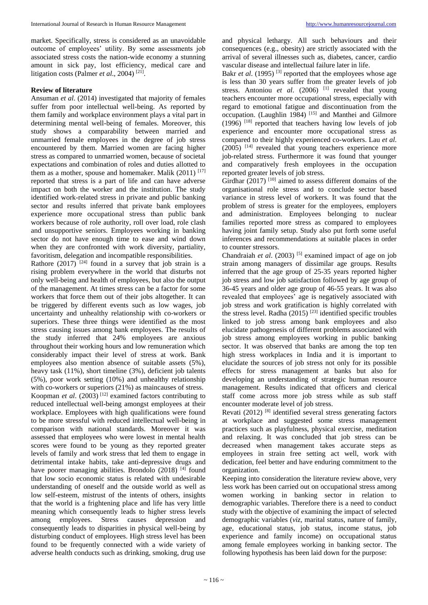market. Specifically, stress is considered as an unavoidable outcome of employees' utility. By some assessments job associated stress costs the nation-wide economy a stunning amount in sick pay, lost efficiency, medical care and litigation costs (Palmer *et al*., 2004) [21] .

### **Review of literature**

Ansuman *et al*. (2014) investigated that majority of females suffer from poor intellectual well-being. As reported by them family and workplace environment plays a vital part in determining mental well-being of females. Moreover, this study shows a comparability between married and unmarried female employees in the degree of job stress encountered by them. Married women are facing higher stress as compared to unmarried women, because of societal expectations and combination of roles and duties allotted to them as a mother, spouse and homemaker. Malik (2011) [17] reported that stress is a part of life and can have adverse impact on both the worker and the institution. The study identified work-related stress in private and public banking sector and results inferred that private bank employees experience more occupational stress than public bank workers because of role authority, roll over load, role clash and unsupportive seniors. Employees working in banking sector do not have enough time to ease and wind down when they are confronted with work diversity, partiality, favoritism, delegation and incompatible responsibilities.

Rathore  $(2017)$  <sup>[24]</sup> found in a survey that job strain is a rising problem everywhere in the world that disturbs not only well-being and health of employees, but also the output of the management. At times stress can be a factor for some workers that force them out of their jobs altogether. It can be triggered by different events such as low wages, job uncertainty and unhealthy relationship with co-workers or superiors. These three things were identified as the most stress causing issues among bank employees. The results of the study inferred that 24% employees are anxious throughout their working hours and low remuneration which considerably impact their level of stress at work. Bank employees also mention absence of suitable assets (5%), heavy task (11%), short timeline (3%), deficient job talents (5%), poor work setting (10%) and unhealthy relationship with co-workers or superiors (21%) as maincauses of stress. Koopman *et al.* (2003)<sup>[12]</sup> examined factors contributing to reduced intellectual well-being amongst employees at their workplace. Employees with high qualifications were found to be more stressful with reduced intellectual well-being in comparison with national standards. Moreover it was assessed that employees who were lowest in mental health scores were found to be young as they reported greater levels of family and work stress that led them to engage in detrimental intake habits, take anti-depressive drugs and have poorer managing abilities. Brondolo (2018) [4] found that low socio economic status is related with undesirable understanding of oneself and the outside world as well as low self-esteem, mistrust of the intents of others, insights that the world is a frightening place and life has very little meaning which consequently leads to higher stress levels among employees. Stress causes depression and consequently leads to disparities in physical well-being by disturbing conduct of employees. High stress level has been found to be frequently connected with a wide variety of adverse health conducts such as drinking, smoking, drug use

and physical lethargy. All such behaviours and their consequences (e.g., obesity) are strictly associated with the arrival of several illnesses such as, diabetes, cancer, cardio vascular disease and intellectual failure later in life.

Bakr *et al.* (1995)<sup>[3]</sup> reported that the employees whose age is less than 30 years suffer from the greater levels of job stress. Antoniou et al. (2006) <sup>[1]</sup> revealed that young teachers encounter more occupational stress, especially with regard to emotional fatigue and discontinuation from the occupation. (Laughlin 1984)<sup>[15]</sup> and Manthei and Gilmore  $(1996)$ <sup>[18]</sup> reported that teachers having low levels of job experience and encounter more occupational stress as compared to their highly experienced co-workers. Lau *et al*.  $(2005)$ <sup>[14]</sup> revealed that young teachers experience more job-related stress. Furthermore it was found that younger and comparatively fresh employees in the occupation reported greater levels of job stress.

Girdhar (2017)<sup>[10]</sup> aimed to assess different domains of the organisational role stress and to conclude sector based variance in stress level of workers. It was found that the problem of stress is greater for the employees, employers and administration. Employees belonging to nuclear families reported more stress as compared to employees having joint family setup. Study also put forth some useful inferences and recommendations at suitable places in order to counter stressors.

Chandraiah et al. (2003)<sup>[5]</sup> examined impact of age on job strain among managers of dissimilar age groups. Results inferred that the age group of 25-35 years reported higher job stress and low job satisfaction followed by age group of 36-45 years and older age group of 46-55 years. It was also revealed that employees' age is negatively associated with job stress and work gratification is highly correlated with the stress level. Radha  $(2015)$ <sup>[23]</sup> identified specific troubles linked to job stress among bank employees and also elucidate pathogenesis of different problems associated with job stress among employees working in public banking sector. It was observed that banks are among the top ten high stress workplaces in India and it is important to elucidate the sources of job stress not only for its possible effects for stress management at banks but also for developing an understanding of strategic human resource management. Results indicated that officers and clerical staff come across more job stress while as sub staff encounter moderate level of job stress.

Revati (2012)<sup>[8]</sup> identified several stress generating factors at workplace and suggested some stress management practices such as playfulness, physical exercise, meditation and relaxing. It was concluded that job stress can be decreased when management takes accurate steps as employees in strain free setting act well, work with dedication, feel better and have enduring commitment to the organization.

Keeping into consideration the literature review above, very less work has been carried out on occupational stress among women working in banking sector in relation to demographic variables. Therefore there is a need to conduct study with the objective of examining the impact of selected demographic variables (*viz*, marital status, nature of family, age, educational status, job status, income status, job experience and family income) on occupational status among female employees working in banking sector. The following hypothesis has been laid down for the purpose: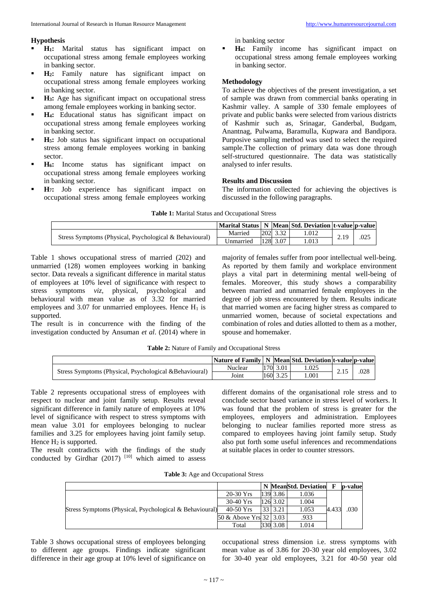#### **Hypothesis**

- **H1:** Marital status has significant impact on occupational stress among female employees working in banking sector.
- **H<sub>2</sub>**: Family nature has significant impact on occupational stress among female employees working in banking sector.
- **H3:** Age has significant impact on occupational stress among female employees working in banking sector.
- **H4:** Educational status has significant impact on occupational stress among female employees working in banking sector.
- **H5:** Job status has significant impact on occupational stress among female employees working in banking sector.
- **H6:** Income status has significant impact on occupational stress among female employees working in banking sector.
- **H<sub>7</sub>:** Job experience has significant impact on occupational stress among female employees working

in banking sector

 **H8:** Family income has significant impact on occupational stress among female employees working in banking sector.

## **Methodology**

To achieve the objectives of the present investigation, a set of sample was drawn from commercial banks operating in Kashmir valley. A sample of 330 female employees of private and public banks were selected from various districts of Kashmir such as, Srinagar, Ganderbal, Budgam, Anantnag, Pulwama, Baramulla, Kupwara and Bandipora. Purposive sampling method was used to select the required sample.The collection of primary data was done through self-structured questionnaire. The data was statistically analysed to infer results.

## **Results and Discussion**

The information collected for achieving the objectives is discussed in the following paragraphs.

| <b>Table 1:</b> Marital Status and Occupational Stress |  |  |  |
|--------------------------------------------------------|--|--|--|
|--------------------------------------------------------|--|--|--|

|                                                         | Marital Status   N   Mean Std. Deviation   t-value   p-value |          |      |  |
|---------------------------------------------------------|--------------------------------------------------------------|----------|------|--|
| Stress Symptoms (Physical, Psychological & Behavioural) | Married                                                      | 202 3.32 | .012 |  |
|                                                         | Jnmarried                                                    | 128 3.07 | .013 |  |

Table 1 shows occupational stress of married (202) and unmarried (128) women employees working in banking sector. Data reveals a significant difference in marital status of employees at 10% level of significance with respect to stress symptoms *viz*, physical, psychological and behavioural with mean value as of 3.32 for married employees and 3.07 for unmarried employees. Hence  $H_1$  is supported.

The result is in concurrence with the finding of the investigation conducted by Ansuman *et al*. (2014) where in

majority of females suffer from poor intellectual well-being. As reported by them family and workplace environment plays a vital part in determining mental well-being of females. Moreover, this study shows a comparability between married and unmarried female employees in the degree of job stress encountered by them. Results indicate that married women are facing higher stress as compared to unmarried women, because of societal expectations and combination of roles and duties allotted to them as a mother, spouse and homemaker.

**Table 2:** Nature of Family and Occupational Stress

|                                                         | Nature of Family   N  Mean Std. Deviation t-value p-value |     |          |      |     |
|---------------------------------------------------------|-----------------------------------------------------------|-----|----------|------|-----|
| Stress Symptoms (Physical, Psychological & Behavioural) | Nuclear                                                   | 170 | 3.01     | .025 | 028 |
|                                                         | Joint                                                     |     | 160 3.25 | .001 |     |

Table 2 represents occupational stress of employees with respect to nuclear and joint family setup. Results reveal significant difference in family nature of employees at 10% level of significance with respect to stress symptoms with mean value 3.01 for employees belonging to nuclear families and 3.25 for employees having joint family setup. Hence  $H_2$  is supported.

The result contradicts with the findings of the study conducted by Girdhar  $(2017)$ <sup>[10]</sup> which aimed to assess different domains of the organisational role stress and to conclude sector based variance in stress level of workers. It was found that the problem of stress is greater for the employees, employers and administration. Employees belonging to nuclear families reported more stress as compared to employees having joint family setup. Study also put forth some useful inferences and recommendations at suitable places in order to counter stressors.

|                                                         |                        |                | N MeanStd. Deviation | F     | <b>b</b> -value |
|---------------------------------------------------------|------------------------|----------------|----------------------|-------|-----------------|
| Stress Symptoms (Physical, Psychological & Behavioural) | $20-30$ Yrs            | 139 3.86       | 1.036                | 4.433 |                 |
|                                                         | $30-40$ Yrs            | 126 3.02       | 1.004                |       |                 |
|                                                         | $40-50$ Yrs            | $33 \mid 3.21$ | 1.053                |       | .030            |
|                                                         | 50 & Above Yrs 32 3.03 |                | .933                 |       |                 |
|                                                         | Total                  | 330 3.08       | 1.014                |       |                 |

Table 3 shows occupational stress of employees belonging to different age groups. Findings indicate significant difference in their age group at 10% level of significance on occupational stress dimension i.e. stress symptoms with mean value as of 3.86 for 20-30 year old employees, 3.02 for 30-40 year old employees, 3.21 for 40-50 year old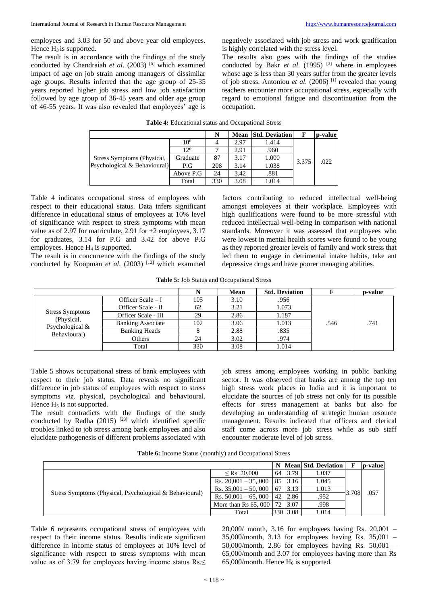employees and 3.03 for 50 and above year old employees. Hence  $H_3$  is supported.

The result is in accordance with the findings of the study conducted by Chandraiah et al. (2003)<sup>[5]</sup> which examined impact of age on job strain among managers of dissimilar age groups. Results inferred that the age group of 25-35 years reported higher job stress and low job satisfaction followed by age group of 36-45 years and older age group of 46-55 years. It was also revealed that employees' age is negatively associated with job stress and work gratification is highly correlated with the stress level.

The results also goes with the findings of the studies conducted by Bakr *et al.* (1995)<sup>[3]</sup> where in employees whose age is less than 30 years suffer from the greater levels of job stress. Antoniou et al. (2006)<sup>[1]</sup> revealed that young teachers encounter more occupational stress, especially with regard to emotional fatigue and discontinuation from the occupation.

|                                                            |                  | N   |      | <b>Mean Std. Deviation</b> | F     | p-value |
|------------------------------------------------------------|------------------|-----|------|----------------------------|-------|---------|
| Stress Symptoms (Physical,<br>Psychological & Behavioural) | 10 <sup>th</sup> |     | 2.97 | 1.414                      |       |         |
|                                                            | 12 <sup>th</sup> |     | 2.91 | .960                       |       |         |
|                                                            | Graduate         | 87  | 3.17 | 1.000                      | 3.375 | .022    |
|                                                            | P.G              | 208 | 3.14 | 1.038                      |       |         |
|                                                            | Above P.G        | 24  | 3.42 | .881                       |       |         |
|                                                            | Total            | 330 | 3.08 | 1.014                      |       |         |

Table 4 indicates occupational stress of employees with respect to their educational status. Data infers significant difference in educational status of employees at 10% level of significance with respect to stress symptoms with mean value as of 2.97 for matriculate, 2.91 for +2 employees, 3.17 for graduates, 3.14 for P.G and 3.42 for above P.G employees. Hence  $H_4$  is supported.

The result is in concurrence with the findings of the study conducted by Koopman et al. (2003)<sup>[12]</sup> which examined factors contributing to reduced intellectual well-being amongst employees at their workplace. Employees with high qualifications were found to be more stressful with reduced intellectual well-being in comparison with national standards. Moreover it was assessed that employees who were lowest in mental health scores were found to be young as they reported greater levels of family and work stress that led them to engage in detrimental intake habits, take ant depressive drugs and have poorer managing abilities.

**Table 5:** Job Status and Occupational Stress

|                                                                                                                                     |                      |      | <b>Mean</b> | <b>Std. Deviation</b> |      | p-value |
|-------------------------------------------------------------------------------------------------------------------------------------|----------------------|------|-------------|-----------------------|------|---------|
| Officer Scale $-I$<br>Officer Scale - II<br><b>Stress Symptoms</b><br>Officer Scale - III<br>(Physical,<br><b>Banking Associate</b> |                      | 105  | 3.10        | .956                  |      |         |
|                                                                                                                                     | 62                   | 3.21 | 1.073       |                       |      |         |
|                                                                                                                                     | 29                   | 2.86 | 1.187       |                       |      |         |
|                                                                                                                                     |                      | 102  | 3.06        | 1.013                 | .546 | .741    |
| Psychological &<br>Behavioural)                                                                                                     | <b>Banking Heads</b> |      | 2.88        | .835                  |      |         |
|                                                                                                                                     | Others               | 24   | 3.02        | .974                  |      |         |
|                                                                                                                                     | Total                | 330  | 3.08        | 1.014                 |      |         |

Table 5 shows occupational stress of bank employees with respect to their job status. Data reveals no significant difference in job status of employees with respect to stress symptoms *viz*, physical, psychological and behavioural. Hence  $H_5$  is not supported.

The result contradicts with the findings of the study conducted by Radha  $(2015)$ <sup>[23]</sup> which identified specific troubles linked to job stress among bank employees and also elucidate pathogenesis of different problems associated with job stress among employees working in public banking sector. It was observed that banks are among the top ten high stress work places in India and it is important to elucidate the sources of job stress not only for its possible effects for stress management at banks but also for developing an understanding of strategic human resource management. Results indicated that officers and clerical staff come across more job stress while as sub staff encounter moderate level of job stress.

|  |  |  |  | Table 6: Income Status (monthly) and Occupational Stress |  |
|--|--|--|--|----------------------------------------------------------|--|
|--|--|--|--|----------------------------------------------------------|--|

|                                                         |                       |    |                | N   Mean   Std. Deviation |       | p-value |
|---------------------------------------------------------|-----------------------|----|----------------|---------------------------|-------|---------|
| Stress Symptoms (Physical, Psychological & Behavioural) | $\le$ Rs. 20,000      |    | 64 3.79        | 1.037                     |       |         |
|                                                         | Rs. $20,001 - 35,000$ |    | $85 \mid 3.16$ | 1.045                     |       | .057    |
|                                                         | Rs. $35,001 - 50,000$ | 67 | 3.13           | 1.013                     | 3.708 |         |
|                                                         | Rs. $50,001 - 65,000$ | 42 | 2.86           | .952                      |       |         |
|                                                         | More than $Rs 65,000$ |    | 3.07           | .998                      |       |         |
|                                                         | Total                 |    | 330 3.08       | 1.014                     |       |         |

Table 6 represents occupational stress of employees with respect to their income status. Results indicate significant difference in income status of employees at 10% level of significance with respect to stress symptoms with mean value as of 3.79 for employees having income status Rs.≤ 20,000/ month, 3.16 for employees having Rs. 20,001 – 35,000/month, 3.13 for employees having Rs. 35,001 – 50,000/month, 2.86 for employees having Rs. 50,001 – 65,000/month and 3.07 for employees having more than Rs 65,000/month. Hence  $H_6$  is supported.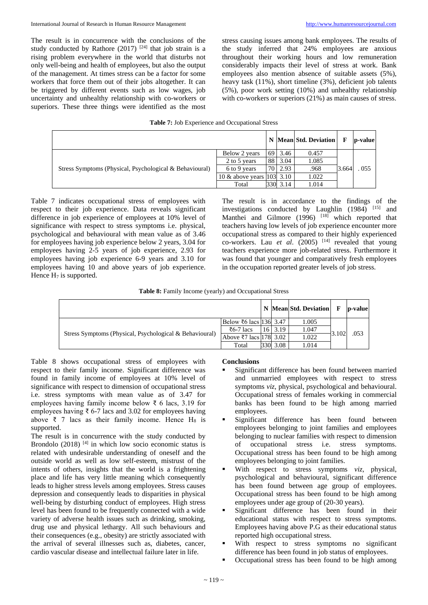The result is in concurrence with the conclusions of the study conducted by Rathore  $(2017)$ <sup>[24]</sup> that job strain is a rising problem everywhere in the world that disturbs not only well-being and health of employees, but also the output of the management. At times stress can be a factor for some workers that force them out of their jobs altogether. It can be triggered by different events such as low wages, job uncertainty and unhealthy relationship with co-workers or superiors. These three things were identified as the most

stress causing issues among bank employees. The results of the study inferred that 24% employees are anxious throughout their working hours and low remuneration considerably impacts their level of stress at work. Bank employees also mention absence of suitable assets (5%), heavy task (11%), short timeline (3%), deficient job talents (5%), poor work setting (10%) and unhealthy relationship with co-workers or superiors (21%) as main causes of stress.

| Table 7: Job Experience and Occupational Stress |  |
|-------------------------------------------------|--|
|-------------------------------------------------|--|

|                                                         |                             |    |          | N Mean Std. Deviation | F     | <b>p</b> -value |
|---------------------------------------------------------|-----------------------------|----|----------|-----------------------|-------|-----------------|
|                                                         | Below 2 years               | 69 | 3.46     | 0.457                 |       |                 |
|                                                         | 2 to 5 years                | 88 | 3.04     | 1.085                 |       |                 |
| Stress Symptoms (Physical, Psychological & Behavioural) | 6 to 9 years                | 70 | 2.93     | .968                  | 3.664 | .055            |
|                                                         | 10 & above years [103] 3.10 |    |          | 1.022                 |       |                 |
|                                                         | Total                       |    | 330 3.14 | 1.014                 |       |                 |

Table 7 indicates occupational stress of employees with respect to their job experience. Data reveals significant difference in job experience of employees at 10% level of significance with respect to stress symptoms i.e. physical, psychological and behavioural with mean value as of 3.46 for employees having job experience below 2 years, 3.04 for employees having 2-5 years of job experience, 2.93 for employees having job experience 6-9 years and 3.10 for employees having 10 and above years of job experience. Hence  $H_7$  is supported.

The result is in accordance to the findings of the investigations conducted by Laughlin (1984) [15] and Manthei and Gilmore  $(1996)$  <sup>[18]</sup> which reported that teachers having low levels of job experience encounter more occupational stress as compared to their highly experienced co-workers. Lau *et al.* (2005) <sup>[14]</sup> revealed that young teachers experience more job-related stress. Furthermore it was found that younger and comparatively fresh employees in the occupation reported greater levels of job stress.

**Table 8:** Family Income (yearly) and Occupational Stress

|                                                         |                            |                | N Mean Std. Deviation | $\mathbf F$ | <b>p</b> -value |
|---------------------------------------------------------|----------------------------|----------------|-----------------------|-------------|-----------------|
| Stress Symptoms (Physical, Psychological & Behavioural) | Below ₹6 lacs   136   3.47 |                | 1.005                 | 3.102       | .053            |
|                                                         | ₹6-7 lacs                  | $16 \mid 3.19$ | 1.047                 |             |                 |
|                                                         | Above ₹7 lacs $ 178 $ 3.02 |                | 1.022                 |             |                 |
|                                                         | Total                      | 330 3.08       | 1.014                 |             |                 |

Table 8 shows occupational stress of employees with respect to their family income. Significant difference was found in family income of employees at 10% level of significance with respect to dimension of occupational stress i.e. stress symptoms with mean value as of 3.47 for employees having family income below  $\bar{\tau}$  6 lacs, 3.19 for employees having  $\bar{\tau}$  6-7 lacs and 3.02 for employees having above ₹ 7 lacs as their family income. Hence  $H_8$  is supported.

The result is in concurrence with the study conducted by Brondolo  $(2018)$ <sup>[4]</sup> in which low socio economic status is related with undesirable understanding of oneself and the outside world as well as low self-esteem, mistrust of the intents of others, insights that the world is a frightening place and life has very little meaning which consequently leads to higher stress levels among employees. Stress causes depression and consequently leads to disparities in physical well-being by disturbing conduct of employees. High stress level has been found to be frequently connected with a wide variety of adverse health issues such as drinking, smoking, drug use and physical lethargy. All such behaviours and their consequences (e.g., obesity) are strictly associated with the arrival of several illnesses such as, diabetes, cancer, cardio vascular disease and intellectual failure later in life.

## **Conclusions**

- Significant difference has been found between married and unmarried employees with respect to stress symptoms *viz*, physical, psychological and behavioural. Occupational stress of females working in commercial banks has been found to be high among married employees.
- Significant difference has been found between employees belonging to joint families and employees belonging to nuclear families with respect to dimension of occupational stress i.e. stress symptoms. Occupational stress has been found to be high among employees belonging to joint families.
- With respect to stress symptoms *viz*, physical, psychological and behavioural, significant difference has been found between age group of employees. Occupational stress has been found to be high among employees under age group of (20-30 years).
- Significant difference has been found in their educational status with respect to stress symptoms. Employees having above P.G as their educational status reported high occupational stress.
- With respect to stress symptoms no significant difference has been found in job status of employees.
- Occupational stress has been found to be high among